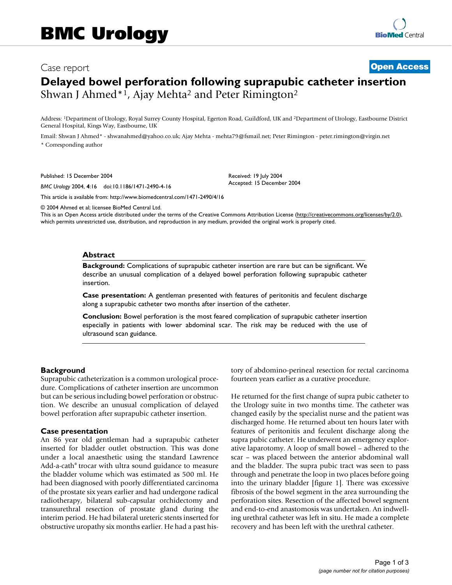# Case report **[Open Access](http://www.biomedcentral.com/info/about/charter/) Delayed bowel perforation following suprapubic catheter insertion** Shwan J Ahmed\*1, Ajay Mehta2 and Peter Rimington2

Address: 1Department of Urology, Royal Surrey County Hospital, Egerton Road, Guildford, UK and 2Department of Urology, Eastbourne District General Hospital, Kings Way, Eastbourne, UK

> Received: 19 July 2004 Accepted: 15 December 2004

Email: Shwan J Ahmed\* - shwanahmed@yahoo.co.uk; Ajay Mehta - mehta79@fsmail.net; Peter Rimington - peter.rimington@virgin.net \* Corresponding author

Published: 15 December 2004

*BMC Urology* 2004, **4**:16 doi:10.1186/1471-2490-4-16

[This article is available from: http://www.biomedcentral.com/1471-2490/4/16](http://www.biomedcentral.com/1471-2490/4/16)

© 2004 Ahmed et al; licensee BioMed Central Ltd.

This is an Open Access article distributed under the terms of the Creative Commons Attribution License [\(http://creativecommons.org/licenses/by/2.0\)](http://creativecommons.org/licenses/by/2.0), which permits unrestricted use, distribution, and reproduction in any medium, provided the original work is properly cited.

#### **Abstract**

**Background:** Complications of suprapubic catheter insertion are rare but can be significant. We describe an unusual complication of a delayed bowel perforation following suprapubic catheter insertion.

**Case presentation:** A gentleman presented with features of peritonitis and feculent discharge along a suprapubic catheter two months after insertion of the catheter.

**Conclusion:** Bowel perforation is the most feared complication of suprapubic catheter insertion especially in patients with lower abdominal scar. The risk may be reduced with the use of ultrasound scan guidance.

## **Background**

Suprapubic catheterization is a common urological procedure. Complications of catheter insertion are uncommon but can be serious including bowel perforation or obstruction. We describe an unusual complication of delayed bowel perforation after suprapubic catheter insertion.

## **Case presentation**

An 86 year old gentleman had a suprapubic catheter inserted for bladder outlet obstruction. This was done under a local anaesthetic using the standard Lawrence Add-a-cath® trocar with ultra sound guidance to measure the bladder volume which was estimated as 500 ml. He had been diagnosed with poorly differentiated carcinoma of the prostate six years earlier and had undergone radical radiotherapy, bilateral sub-capsular orchidectomy and transurethral resection of prostate gland during the interim period. He had bilateral ureteric stents inserted for obstructive uropathy six months earlier. He had a past history of abdomino-perineal resection for rectal carcinoma fourteen years earlier as a curative procedure.

He returned for the first change of supra pubic catheter to the Urology suite in two months time. The catheter was changed easily by the specialist nurse and the patient was discharged home. He returned about ten hours later with features of peritonitis and feculent discharge along the supra pubic catheter. He underwent an emergency explorative laparotomy. A loop of small bowel – adhered to the scar – was placed between the anterior abdominal wall and the bladder. The supra pubic tract was seen to pass through and penetrate the loop in two places before going into the urinary bladder [figure 1]. There was excessive fibrosis of the bowel segment in the area surrounding the perforation sites. Resection of the affected bowel segment and end-to-end anastomosis was undertaken. An indwelling urethral catheter was left in situ. He made a complete recovery and has been left with the urethral catheter.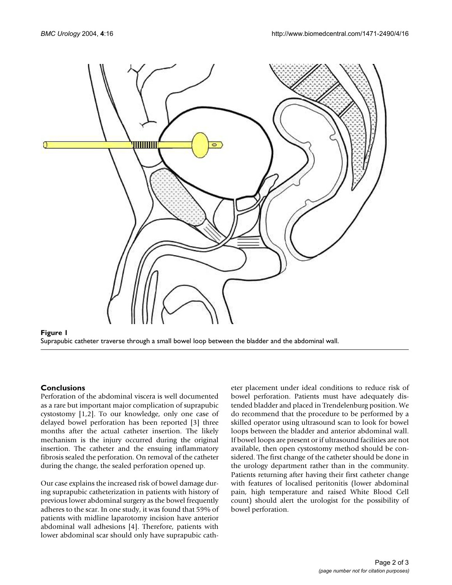

Suprapubic catheter traverse through a small bowe **Figure 1** l loop between the bladder and the abdominal wall Suprapubic catheter traverse through a small bowel loop between the bladder and the abdominal wall.

# **Conclusions**

Perforation of the abdominal viscera is well documented as a rare but important major complication of suprapubic cystostomy [1,2]. To our knowledge, only one case of delayed bowel perforation has been reported [3] three months after the actual catheter insertion. The likely mechanism is the injury occurred during the original insertion. The catheter and the ensuing inflammatory fibrosis sealed the perforation. On removal of the catheter during the change, the sealed perforation opened up.

Our case explains the increased risk of bowel damage during suprapubic catheterization in patients with history of previous lower abdominal surgery as the bowel frequently adheres to the scar. In one study, it was found that 59% of patients with midline laparotomy incision have anterior abdominal wall adhesions [4]. Therefore, patients with lower abdominal scar should only have suprapubic catheter placement under ideal conditions to reduce risk of bowel perforation. Patients must have adequately distended bladder and placed in Trendelenburg position. We do recommend that the procedure to be performed by a skilled operator using ultrasound scan to look for bowel loops between the bladder and anterior abdominal wall. If bowel loops are present or if ultrasound facilities are not available, then open cystostomy method should be considered. The first change of the catheter should be done in the urology department rather than in the community. Patients returning after having their first catheter change with features of localised peritonitis (lower abdominal pain, high temperature and raised White Blood Cell count) should alert the urologist for the possibility of bowel perforation.